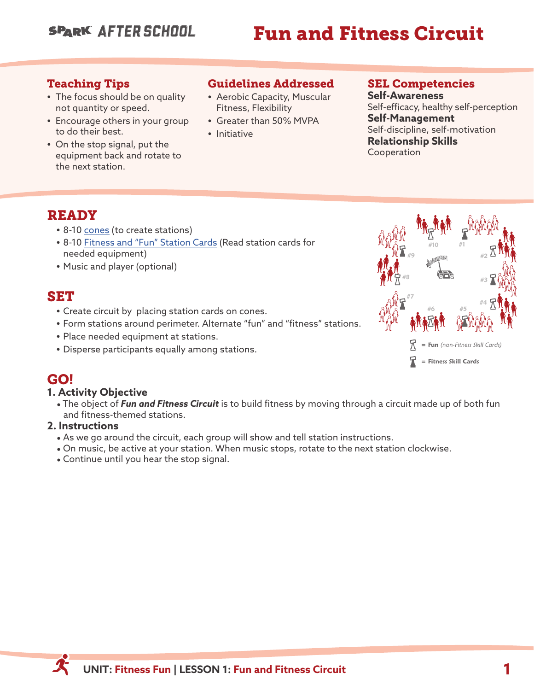## **SPARK AFTER SCHOOL**

# Fun and Fitness Circuit

#### Teaching Tips

- **•** The focus should be on quality not quantity or speed.
- **•** Encourage others in your group to do their best.
- **•** On the stop signal, put the equipment back and rotate to the next station.

## Guidelines Addressed

- **•** Aerobic Capacity, Muscular Fitness, Flexibility
- **•** Greater than 50% MVPA
- **•** Initiative

#### SEL Competencies

**Self-Awareness** Self-efficacy, healthy self-perception **Self-Management** Self-discipline, self-motivation **Relationship Skills** Cooperation

## READY

- **•** 8-10 [cones](https://www.gophersport.com/after-school/fitness-fun) (to create stations)
- **•** 8-10 [Fitness and "Fun" Station Cards](https://sparkfamily.org/#/secondary-module-file-list/258/7/76) (Read station cards for needed equipment)
- **•** Music and player (optional)

## SET

- **•** Create circuit by placing station cards on cones.
- **•** Form stations around perimeter. Alternate "fun" and "fitness" stations.
- **•** Place needed equipment at stations.
- **•** Disperse participants equally among stations.

## GO!

#### **1. Activity Objective**

\* The object of *Fun and Fitness Circuit* is to build fitness by moving through a circuit made up of both fun and fitness-themed stations.

#### **2. Instructions**

- . As we go around the circuit, each group will show and tell station instructions.
- \* On music, be active at your station. When music stops, rotate to the next station clockwise.
- \* Continue until you hear the stop signal.